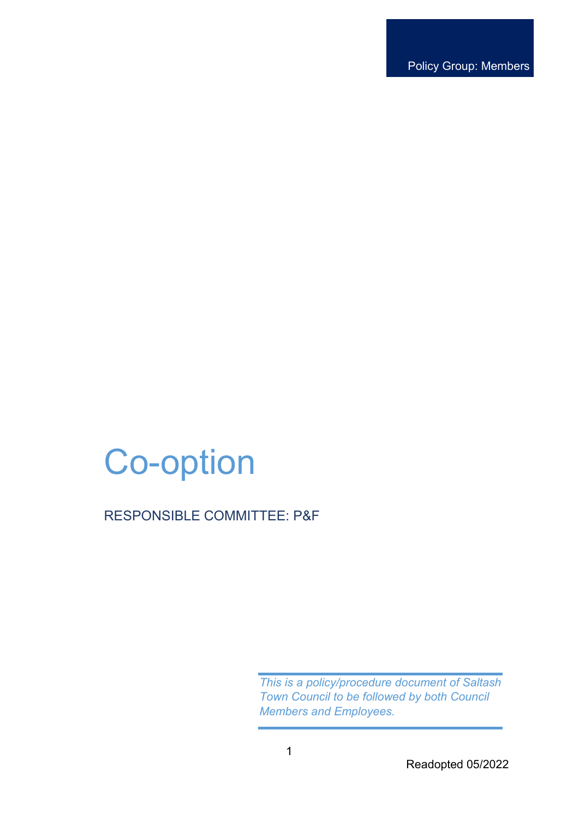Policy Group: Members

# Co-option

## RESPONSIBLE COMMITTEE: P&F

*This is a policy/procedure document of Saltash Town Council to be followed by both Council Members and Employees.* 

Readopted 05/2022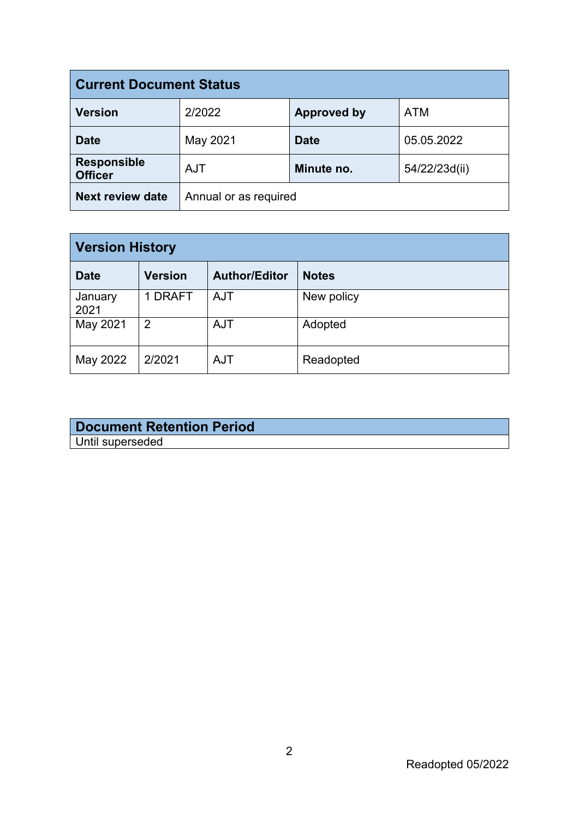| <b>Current Document Status</b>       |                       |                    |               |
|--------------------------------------|-----------------------|--------------------|---------------|
| <b>Version</b>                       | 2/2022                | <b>Approved by</b> | <b>ATM</b>    |
| <b>Date</b>                          | May 2021              | <b>Date</b>        | 05.05.2022    |
| <b>Responsible</b><br><b>Officer</b> | <b>AJT</b>            | Minute no.         | 54/22/23d(ii) |
| <b>Next review date</b>              | Annual or as required |                    |               |

| <b>Version History</b> |                |                      |              |
|------------------------|----------------|----------------------|--------------|
| <b>Date</b>            | <b>Version</b> | <b>Author/Editor</b> | <b>Notes</b> |
| January<br>2021        | 1 DRAFT        | <b>AJT</b>           | New policy   |
| May 2021               | 2              | <b>AJT</b>           | Adopted      |
| May 2022               | 2/2021         | <b>AJT</b>           | Readopted    |

## **Document Retention Period** Until superseded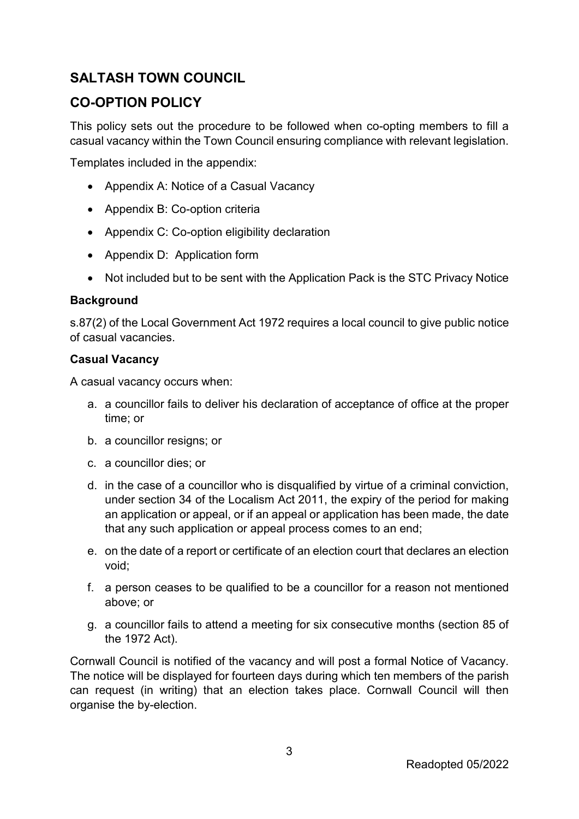## **SALTASH TOWN COUNCIL**

## **CO-OPTION POLICY**

This policy sets out the procedure to be followed when co-opting members to fill a casual vacancy within the Town Council ensuring compliance with relevant legislation.

Templates included in the appendix:

- Appendix A: Notice of a Casual Vacancy
- Appendix B: Co-option criteria
- Appendix C: Co-option eligibility declaration
- Appendix D: Application form
- Not included but to be sent with the Application Pack is the STC Privacy Notice

#### **Background**

s.87(2) of the Local Government Act 1972 requires a local council to give public notice of casual vacancies.

#### **Casual Vacancy**

A casual vacancy occurs when:

- a. a councillor fails to deliver his declaration of acceptance of office at the proper time; or
- b. a councillor resigns; or
- c. a councillor dies; or
- d. in the case of a councillor who is disqualified by virtue of a criminal conviction, under section 34 of the Localism Act 2011, the expiry of the period for making an application or appeal, or if an appeal or application has been made, the date that any such application or appeal process comes to an end;
- e. on the date of a report or certificate of an election court that declares an election void;
- f. a person ceases to be qualified to be a councillor for a reason not mentioned above; or
- g. a councillor fails to attend a meeting for six consecutive months (section 85 of the 1972 Act).

Cornwall Council is notified of the vacancy and will post a formal Notice of Vacancy. The notice will be displayed for fourteen days during which ten members of the parish can request (in writing) that an election takes place. Cornwall Council will then organise the by-election.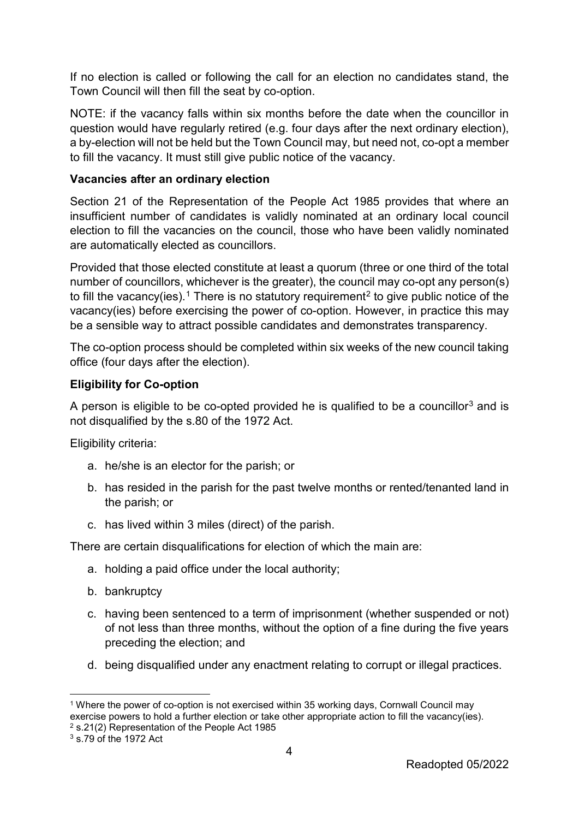If no election is called or following the call for an election no candidates stand, the Town Council will then fill the seat by co-option.

NOTE: if the vacancy falls within six months before the date when the councillor in question would have regularly retired (e.g. four days after the next ordinary election), a by-election will not be held but the Town Council may, but need not, co-opt a member to fill the vacancy. It must still give public notice of the vacancy.

### **Vacancies after an ordinary election**

Section 21 of the Representation of the People Act 1985 provides that where an insufficient number of candidates is validly nominated at an ordinary local council election to fill the vacancies on the council, those who have been validly nominated are automatically elected as councillors.

Provided that those elected constitute at least a quorum (three or one third of the total number of councillors, whichever is the greater), the council may co-opt any person(s) to fill the vacancy(ies).<sup>[1](#page-3-0)</sup> There is no statutory requirement<sup>[2](#page-3-1)</sup> to give public notice of the vacancy(ies) before exercising the power of co-option. However, in practice this may be a sensible way to attract possible candidates and demonstrates transparency.

The co-option process should be completed within six weeks of the new council taking office (four days after the election).

### **Eligibility for Co-option**

A person is eligible to be co-opted provided he is qualified to be a councillor<sup>[3](#page-3-2)</sup> and is not disqualified by the s.80 of the 1972 Act.

Eligibility criteria:

- a. he/she is an elector for the parish; or
- b. has resided in the parish for the past twelve months or rented/tenanted land in the parish; or
- c. has lived within 3 miles (direct) of the parish.

There are certain disqualifications for election of which the main are:

- a. holding a paid office under the local authority;
- b. bankruptcy
- c. having been sentenced to a term of imprisonment (whether suspended or not) of not less than three months, without the option of a fine during the five years preceding the election; and
- d. being disqualified under any enactment relating to corrupt or illegal practices.

<span id="page-3-0"></span><sup>&</sup>lt;sup>1</sup> Where the power of co-option is not exercised within 35 working days, Cornwall Council may exercise powers to hold a further election or take other appropriate action to fill the vacancy(ies).

<span id="page-3-1"></span><sup>2</sup> s.21(2) Representation of the People Act 1985

<span id="page-3-2"></span><sup>3</sup> s.79 of the 1972 Act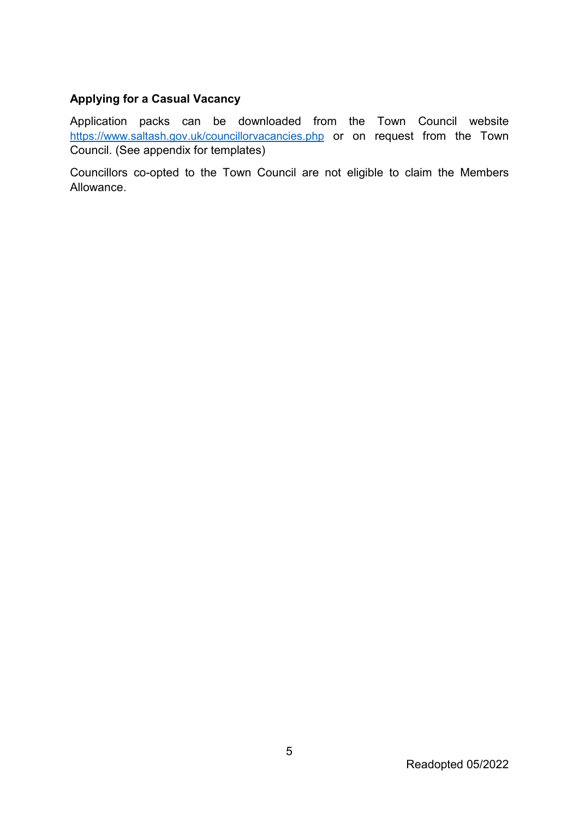## **Applying for a Casual Vacancy**

Application packs can be downloaded from the Town Council website <https://www.saltash.gov.uk/councillorvacancies.php> or on request from the Town Council. (See appendix for templates)

Councillors co-opted to the Town Council are not eligible to claim the Members Allowance.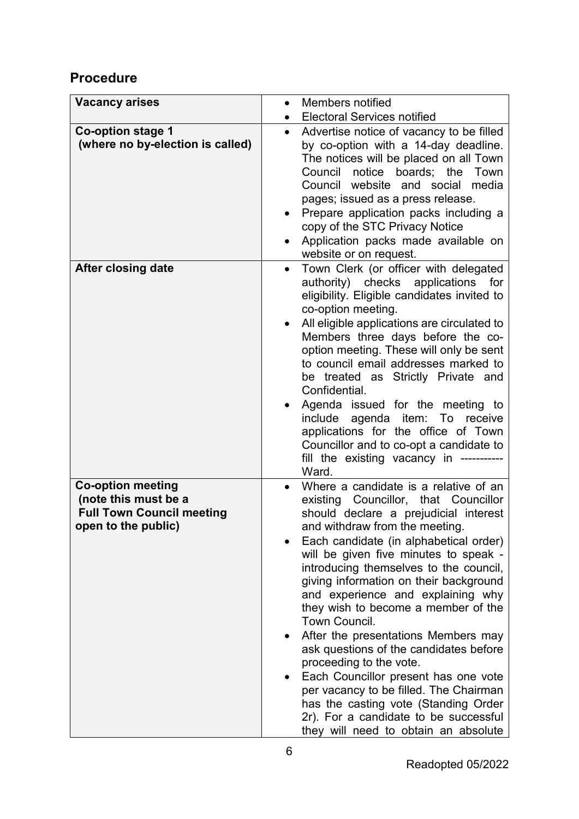## **Procedure**

| <b>Vacancy arises</b>            | $\bullet$ | Members notified                                                                |
|----------------------------------|-----------|---------------------------------------------------------------------------------|
|                                  | $\bullet$ | <b>Electoral Services notified</b>                                              |
| <b>Co-option stage 1</b>         | $\bullet$ | Advertise notice of vacancy to be filled                                        |
| (where no by-election is called) |           | by co-option with a 14-day deadline.                                            |
|                                  |           | The notices will be placed on all Town                                          |
|                                  |           | Council notice boards; the Town                                                 |
|                                  |           | Council website and social media                                                |
|                                  |           | pages; issued as a press release.                                               |
|                                  |           | Prepare application packs including a<br>copy of the STC Privacy Notice         |
|                                  |           | Application packs made available on                                             |
|                                  |           | website or on request.                                                          |
| After closing date               | $\bullet$ | Town Clerk (or officer with delegated                                           |
|                                  |           | authority) checks<br>applications<br>for                                        |
|                                  |           | eligibility. Eligible candidates invited to<br>co-option meeting.               |
|                                  | $\bullet$ | All eligible applications are circulated to                                     |
|                                  |           | Members three days before the co-                                               |
|                                  |           | option meeting. These will only be sent                                         |
|                                  |           | to council email addresses marked to                                            |
|                                  |           | be treated as Strictly Private and                                              |
|                                  |           | Confidential.                                                                   |
|                                  | $\bullet$ | Agenda issued for the meeting to                                                |
|                                  |           | include agenda item: To receive                                                 |
|                                  |           | applications for the office of Town<br>Councillor and to co-opt a candidate to  |
|                                  |           | fill the existing vacancy in -----------                                        |
|                                  |           | Ward.                                                                           |
| <b>Co-option meeting</b>         |           | Where a candidate is a relative of an                                           |
| (note this must be a             |           | existing Councillor, that Councillor                                            |
| <b>Full Town Council meeting</b> |           | should declare a prejudicial interest                                           |
| open to the public)              |           | and withdraw from the meeting                                                   |
|                                  |           | Each candidate (in alphabetical order)<br>will be given five minutes to speak - |
|                                  |           | introducing themselves to the council,                                          |
|                                  |           | giving information on their background                                          |
|                                  |           | and experience and explaining why                                               |
|                                  |           | they wish to become a member of the                                             |
|                                  |           | Town Council.                                                                   |
|                                  |           | After the presentations Members may                                             |
|                                  |           | ask questions of the candidates before                                          |
|                                  |           | proceeding to the vote.                                                         |
|                                  |           | Each Councillor present has one vote                                            |
|                                  |           | per vacancy to be filled. The Chairman<br>has the casting vote (Standing Order  |
|                                  |           | 2r). For a candidate to be successful                                           |
|                                  |           | they will need to obtain an absolute                                            |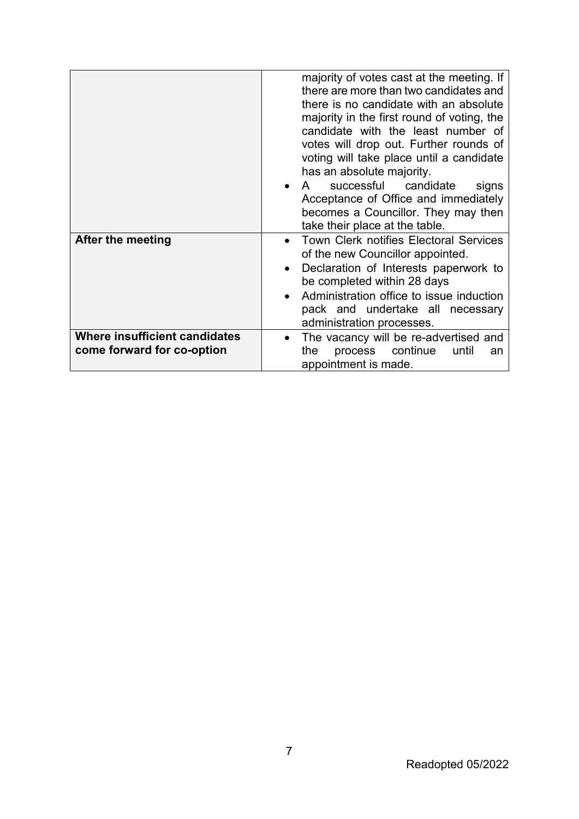|                                                             | majority of votes cast at the meeting. If<br>there are more than two candidates and<br>there is no candidate with an absolute<br>majority in the first round of voting, the<br>candidate with the least number of<br>votes will drop out. Further rounds of<br>voting will take place until a candidate<br>has an absolute majority.<br>successful<br>candidate<br>$\mathsf{A}$<br>signs<br>Acceptance of Office and immediately<br>becomes a Councillor. They may then<br>take their place at the table. |
|-------------------------------------------------------------|-----------------------------------------------------------------------------------------------------------------------------------------------------------------------------------------------------------------------------------------------------------------------------------------------------------------------------------------------------------------------------------------------------------------------------------------------------------------------------------------------------------|
| After the meeting                                           | <b>Town Clerk notifies Electoral Services</b><br>of the new Councillor appointed.<br>Declaration of Interests paperwork to<br>be completed within 28 days<br>Administration office to issue induction<br>pack and undertake all necessary<br>administration processes.                                                                                                                                                                                                                                    |
| Where insufficient candidates<br>come forward for co-option | The vacancy will be re-advertised and<br>continue<br>process<br>the<br>until<br>an<br>appointment is made.                                                                                                                                                                                                                                                                                                                                                                                                |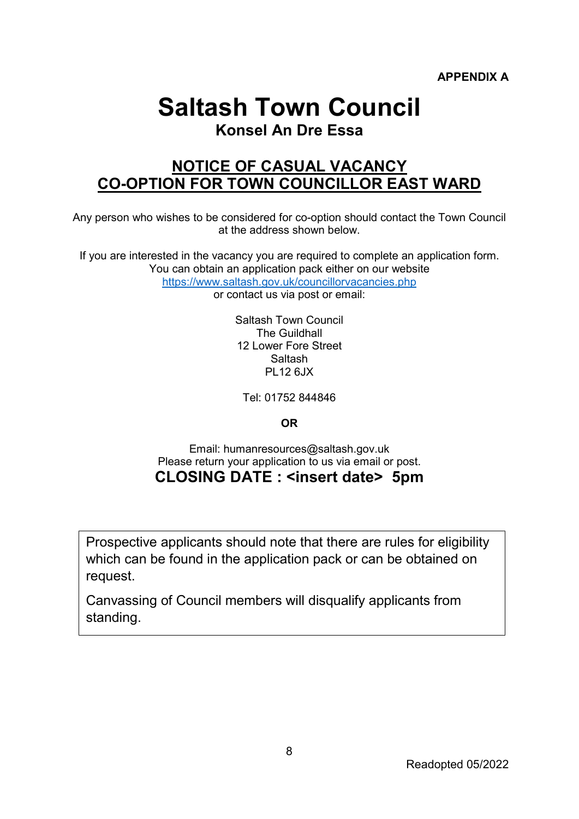## **Saltash Town Council**

## **Konsel An Dre Essa**

## **NOTICE OF CASUAL VACANCY CO-OPTION FOR TOWN COUNCILLOR EAST WARD**

Any person who wishes to be considered for co-option should contact the Town Council at the address shown below.

If you are interested in the vacancy you are required to complete an application form. You can obtain an application pack either on our website <https://www.saltash.gov.uk/councillorvacancies.php>

or contact us via post or email:

Saltash Town Council The Guildhall 12 Lower Fore Street Saltash PL12 6JX

Tel: 01752 844846

## **OR**

Email: humanresources@saltash.gov.uk Please return your application to us via email or post. **CLOSING DATE : <insert date> 5pm**

Prospective applicants should note that there are rules for eligibility which can be found in the application pack or can be obtained on request.

Canvassing of Council members will disqualify applicants from standing.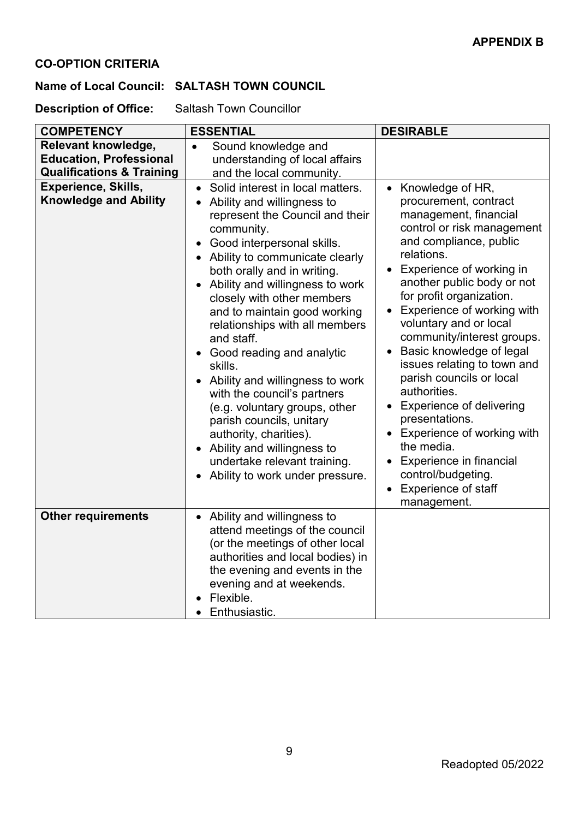## **CO-OPTION CRITERIA**

### **Name of Local Council: SALTASH TOWN COUNCIL**

**Description of Office:** Saltash Town Councillor

| <b>COMPETENCY</b>                                                                             | <b>ESSENTIAL</b>                                                                                                                                                                                                                                                                                                                                                                                                                                                                                                                                                                                                                                                               | <b>DESIRABLE</b>                                                                                                                                                                                                                                                                                                                                                                                                                                                                                                                                                                                                    |
|-----------------------------------------------------------------------------------------------|--------------------------------------------------------------------------------------------------------------------------------------------------------------------------------------------------------------------------------------------------------------------------------------------------------------------------------------------------------------------------------------------------------------------------------------------------------------------------------------------------------------------------------------------------------------------------------------------------------------------------------------------------------------------------------|---------------------------------------------------------------------------------------------------------------------------------------------------------------------------------------------------------------------------------------------------------------------------------------------------------------------------------------------------------------------------------------------------------------------------------------------------------------------------------------------------------------------------------------------------------------------------------------------------------------------|
| Relevant knowledge,<br><b>Education, Professional</b><br><b>Qualifications &amp; Training</b> | Sound knowledge and<br>$\bullet$<br>understanding of local affairs<br>and the local community.                                                                                                                                                                                                                                                                                                                                                                                                                                                                                                                                                                                 |                                                                                                                                                                                                                                                                                                                                                                                                                                                                                                                                                                                                                     |
| <b>Experience, Skills,</b><br><b>Knowledge and Ability</b>                                    | Solid interest in local matters.<br>$\bullet$<br>Ability and willingness to<br>represent the Council and their<br>community.<br>Good interpersonal skills.<br>Ability to communicate clearly<br>both orally and in writing.<br>Ability and willingness to work<br>closely with other members<br>and to maintain good working<br>relationships with all members<br>and staff.<br>Good reading and analytic<br>skills.<br>Ability and willingness to work<br>with the council's partners<br>(e.g. voluntary groups, other<br>parish councils, unitary<br>authority, charities).<br>Ability and willingness to<br>undertake relevant training.<br>Ability to work under pressure. | Knowledge of HR,<br>procurement, contract<br>management, financial<br>control or risk management<br>and compliance, public<br>relations.<br>Experience of working in<br>another public body or not<br>for profit organization.<br>Experience of working with<br>voluntary and or local<br>community/interest groups.<br>Basic knowledge of legal<br>issues relating to town and<br>parish councils or local<br>authorities.<br><b>Experience of delivering</b><br>presentations.<br>Experience of working with<br>the media.<br>Experience in financial<br>control/budgeting.<br>Experience of staff<br>management. |
| <b>Other requirements</b>                                                                     | Ability and willingness to<br>attend meetings of the council<br>(or the meetings of other local<br>authorities and local bodies) in<br>the evening and events in the<br>evening and at weekends.<br>Flexible.<br>Enthusiastic.                                                                                                                                                                                                                                                                                                                                                                                                                                                 |                                                                                                                                                                                                                                                                                                                                                                                                                                                                                                                                                                                                                     |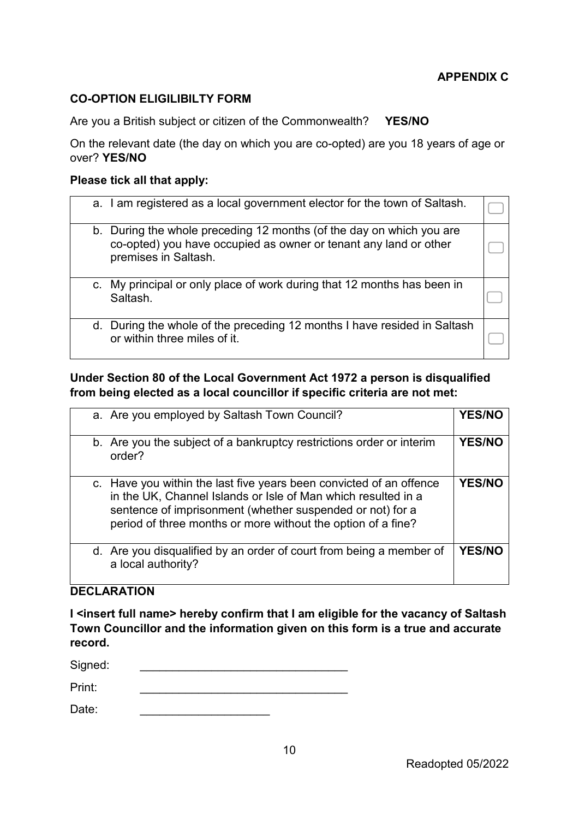#### **CO-OPTION ELIGILIBILTY FORM**

Are you a British subject or citizen of the Commonwealth? **YES/NO**

On the relevant date (the day on which you are co-opted) are you 18 years of age or over? **YES/NO**

#### **Please tick all that apply:**

| a. I am registered as a local government elector for the town of Saltash.                                                                                        |  |
|------------------------------------------------------------------------------------------------------------------------------------------------------------------|--|
| b. During the whole preceding 12 months (of the day on which you are<br>co-opted) you have occupied as owner or tenant any land or other<br>premises in Saltash. |  |
| c. My principal or only place of work during that 12 months has been in<br>Saltash.                                                                              |  |
| d. During the whole of the preceding 12 months I have resided in Saltash<br>or within three miles of it.                                                         |  |

## **Under Section 80 of the Local Government Act 1972 a person is disqualified from being elected as a local councillor if specific criteria are not met:**

|        | a. Are you employed by Saltash Town Council?                                                                                                                                                                                                                      | <b>YES/NO</b> |
|--------|-------------------------------------------------------------------------------------------------------------------------------------------------------------------------------------------------------------------------------------------------------------------|---------------|
| order? | b. Are you the subject of a bankruptcy restrictions order or interim                                                                                                                                                                                              | <b>YES/NO</b> |
|        | c. Have you within the last five years been convicted of an offence<br>in the UK, Channel Islands or Isle of Man which resulted in a<br>sentence of imprisonment (whether suspended or not) for a<br>period of three months or more without the option of a fine? | <b>YES/NO</b> |
|        | d. Are you disqualified by an order of court from being a member of<br>a local authority?                                                                                                                                                                         | <b>YES/NO</b> |

#### **DECLARATION**

**I <insert full name> hereby confirm that I am eligible for the vacancy of Saltash Town Councillor and the information given on this form is a true and accurate record.**

| Signed: |  |  |
|---------|--|--|
| Print:  |  |  |

| Da<br>ate: |  |
|------------|--|
|            |  |
|            |  |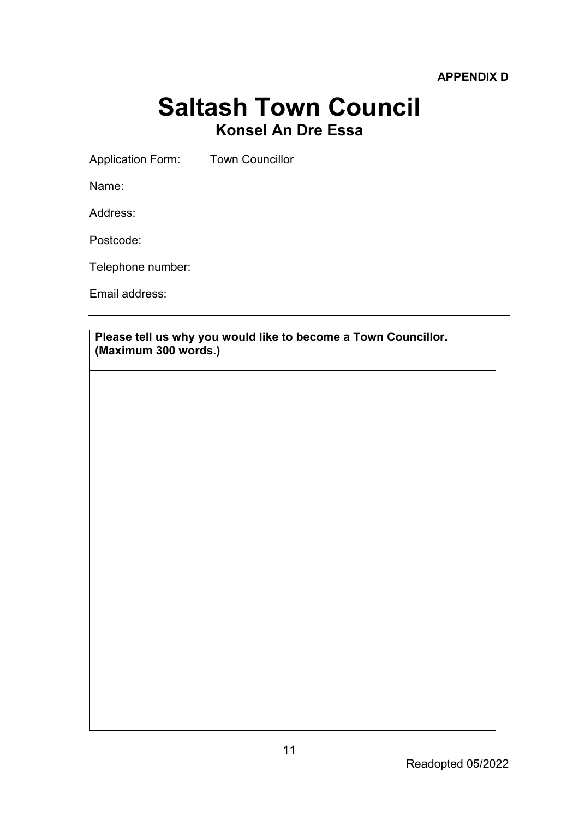**APPENDIX D**

## **Saltash Town Council Konsel An Dre Essa**

Application Form: Town Councillor

Name:

Address:

Postcode:

Telephone number:

Email address:

**Please tell us why you would like to become a Town Councillor. (Maximum 300 words.)**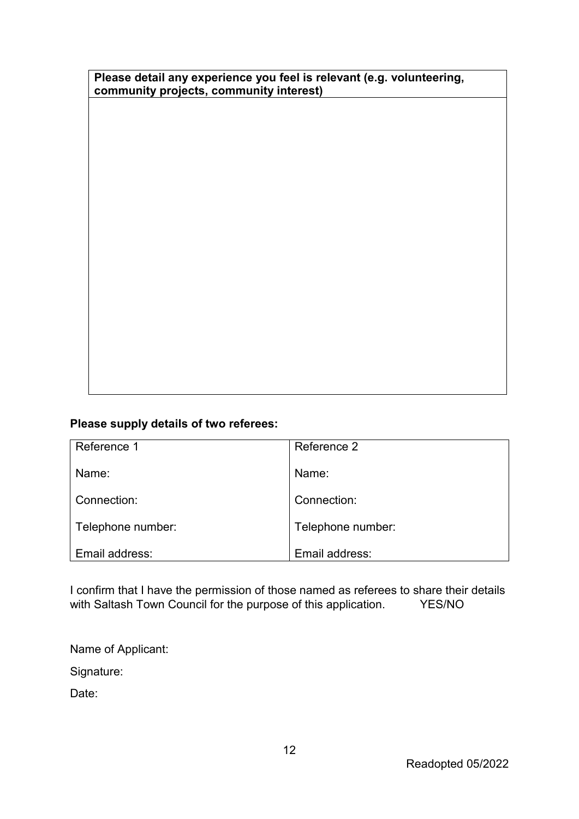|                                         | Please detail any experience you feel is relevant (e.g. volunteering, |
|-----------------------------------------|-----------------------------------------------------------------------|
| community projects, community interest) |                                                                       |

## **Please supply details of two referees:**

| Reference 1       | Reference 2       |
|-------------------|-------------------|
| Name:             | Name:             |
| Connection:       | Connection:       |
| Telephone number: | Telephone number: |
| Email address:    | Email address:    |

I confirm that I have the permission of those named as referees to share their details with Saltash Town Council for the purpose of this application. YES/NO

Name of Applicant:

Signature:

Date: